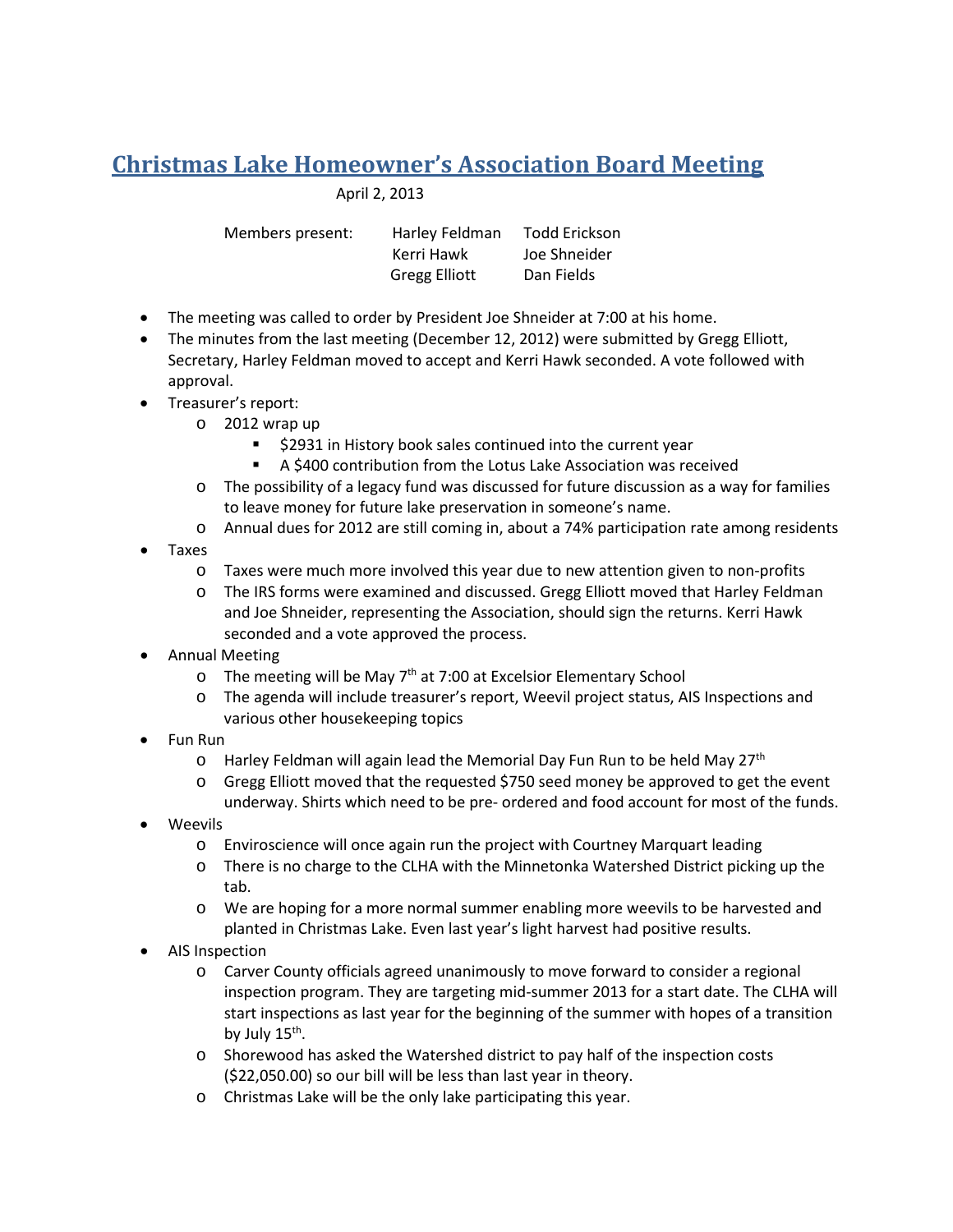## **Christmas Lake Homeowner's Association Board Meeting**

April 2, 2013

| Members present: | Harley Feldman       | Todd Erickson |
|------------------|----------------------|---------------|
|                  | Kerri Hawk           | Joe Shneider  |
|                  | <b>Gregg Elliott</b> | Dan Fields    |

- The meeting was called to order by President Joe Shneider at 7:00 at his home.
- The minutes from the last meeting (December 12, 2012) were submitted by Gregg Elliott, Secretary, Harley Feldman moved to accept and Kerri Hawk seconded. A vote followed with approval.
- Treasurer's report:
	- o 2012 wrap up
		- **52931** in History book sales continued into the current year
		- A \$400 contribution from the Lotus Lake Association was received
	- o The possibility of a legacy fund was discussed for future discussion as a way for families to leave money for future lake preservation in someone's name.
	- o Annual dues for 2012 are still coming in, about a 74% participation rate among residents
- Taxes
	- o Taxes were much more involved this year due to new attention given to non-profits
	- o The IRS forms were examined and discussed. Gregg Elliott moved that Harley Feldman and Joe Shneider, representing the Association, should sign the returns. Kerri Hawk seconded and a vote approved the process.
- Annual Meeting
	- $\circ$  The meeting will be May 7<sup>th</sup> at 7:00 at Excelsior Elementary School
	- o The agenda will include treasurer's report, Weevil project status, AIS Inspections and various other housekeeping topics
- Fun Run
	- $\circ$  Harley Feldman will again lead the Memorial Day Fun Run to be held May 27<sup>th</sup>
	- o Gregg Elliott moved that the requested \$750 seed money be approved to get the event underway. Shirts which need to be pre- ordered and food account for most of the funds.
- Weevils
	- o Enviroscience will once again run the project with Courtney Marquart leading
	- o There is no charge to the CLHA with the Minnetonka Watershed District picking up the tab.
	- o We are hoping for a more normal summer enabling more weevils to be harvested and planted in Christmas Lake. Even last year's light harvest had positive results.
- AIS Inspection
	- o Carver County officials agreed unanimously to move forward to consider a regional inspection program. They are targeting mid-summer 2013 for a start date. The CLHA will start inspections as last year for the beginning of the summer with hopes of a transition by July  $15<sup>th</sup>$ .
	- o Shorewood has asked the Watershed district to pay half of the inspection costs (\$22,050.00) so our bill will be less than last year in theory.
	- o Christmas Lake will be the only lake participating this year.